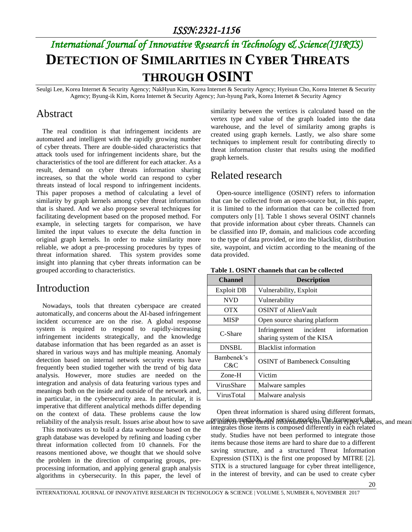# *International Journal of Innovative Research in Technology & Science(IJIRTS)* **DETECTION OF SIMILARITIES IN CYBER THREATS THROUGH OSINT**

Seulgi Lee, Korea Internet & Security Agency; NakHyun Kim, Korea Internet & Security Agency; Hyeisun Cho, Korea Internet & Security Agency; Byung-ik Kim, Korea Internet & Security Agency; Jun-hyung Park, Korea Internet & Security Agency

#### Abstract

The real condition is that infringement incidents are automated and intelligent with the rapidly growing number of cyber threats. There are double-sided characteristics that attack tools used for infringement incidents share, but the characteristics of the tool are different for each attacker. As a result, demand on cyber threats information sharing increases, so that the whole world can respond to cyber threats instead of local respond to infringement incidents. This paper proposes a method of calculating a level of similarity by graph kernels among cyber threat information that is shared. And we also propose several techniques for facilitating development based on the proposed method. For example, in selecting targets for comparison, we have limited the input values to execute the delta function in original graph kernels. In order to make similarity more reliable, we adopt a pre-processing procedures by types of threat information shared. This system provides some insight into planning that cyber threats information can be grouped according to characteristics.

### Introduction

Nowadays, tools that threaten cyberspace are created automatically, and concerns about the AI-based infringement incident occurrence are on the rise. A global response system is required to respond to rapidly-increasing infringement incidents strategically, and the knowledge database information that has been regarded as an asset is shared in various ways and has multiple meaning. Anomaly detection based on internal network security events have frequently been studied together with the trend of big data analysis. However, more studies are needed on the integration and analysis of data featuring various types and meanings both on the inside and outside of the network and, in particular, in the cybersecurity area. In particular, it is imperative that different analytical methods differ depending on the context of data. These problems cause the low

This motivates us to build a data warehouse based on the graph database was developed by refining and loading cyber threat information collected from 10 channels. For the reasons mentioned above, we thought that we should solve the problem in the direction of comparing groups, preprocessing information, and applying general graph analysis algorithms in cybersecurity. In this paper, the level of

similarity between the vertices is calculated based on the vertex type and value of the graph loaded into the data warehouse, and the level of similarity among graphs is created using graph kernels. Lastly, we also share some techniques to implement result for contributing directly to threat information cluster that results using the modified graph kernels.

### Related research

Open-source intelligence (OSINT) refers to information that can be collected from an open-source but, in this paper, it is limited to the information that can be collected from computers only [1]. Table 1 shows several OSINT channels that provide information about cyber threats. Channels can be classified into IP, domain, and malicious code according to the type of data provided, or into the blacklist, distribution site, waypoint, and victim according to the meaning of the data provided.

| <b>Channel</b>    | <b>Description</b>                                              |  |  |  |  |
|-------------------|-----------------------------------------------------------------|--|--|--|--|
| Exploit DB        | Vulnerability, Exploit                                          |  |  |  |  |
| <b>NVD</b>        | Vulnerability                                                   |  |  |  |  |
| <b>OTX</b>        | <b>OSINT</b> of AlienVault                                      |  |  |  |  |
| <b>MISP</b>       | Open source sharing platform                                    |  |  |  |  |
| C-Share           | Infringement incident information<br>sharing system of the KISA |  |  |  |  |
| <b>DNSBL</b>      | <b>Blacklist information</b>                                    |  |  |  |  |
| Bambenek's<br>C&C | <b>OSINT</b> of Bambeneck Consulting                            |  |  |  |  |
| Zone-H            | Victim                                                          |  |  |  |  |
| VirusShare        | Malware samples                                                 |  |  |  |  |
| VirusTotal        | Malware analysis                                                |  |  |  |  |

#### **Table 1. OSINT channels that can be collected**

reliability of the analysis result. Issues arise about how to save and analysive region and service modelsh The framework that es, and mean Open threat information is shared using different formats, integrates those items is composed differently in each related

study. Studies have not been performed to integrate those items because those items are hard to share due to a different saving structure, and a structured Threat Information Expression (STIX) is the first one proposed by MITRE [2]. STIX is a structured language for cyber threat intelligence, in the interest of brevity, and can be used to create cyber

20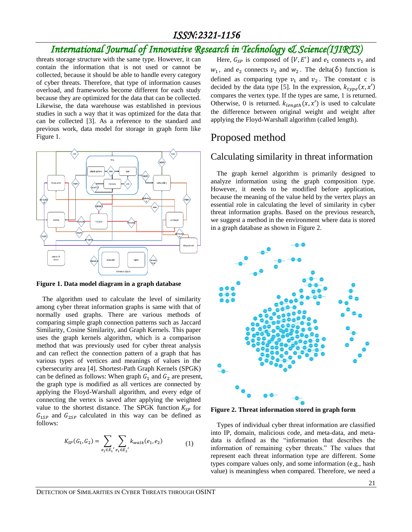### *ISSN:2321-1156*

# *International Journal of Innovative Research in Technology & Science(IJIRTS)*

threats storage structure with the same type. However, it can contain the information that is not used or cannot be collected, because it should be able to handle every category of cyber threats. Therefore, that type of information causes overload, and frameworks become different for each study because they are optimized for the data that can be collected. Likewise, the data warehouse was established in previous studies in such a way that it was optimized for the data that can be collected [3]. As a reference to the standard and previous work, data model for storage in graph form like Figure 1.



**Figure 1. Data model diagram in a graph database**

The algorithm used to calculate the level of similarity among cyber threat information graphs is same with that of normally used graphs. There are various methods of comparing simple graph connection patterns such as Jaccard Similarity, Cosine Similarity, and Graph Kernels. This paper uses the graph kernels algorithm, which is a comparison method that was previously used for cyber threat analysis and can reflect the connection pattern of a graph that has various types of vertices and meanings of values in the cybersecurity area [4]. Shortest-Path Graph Kernels (SPGK) can be defined as follows: When graph  $G_1$  and  $G_2$  are present, the graph type is modified as all vertices are connected by applying the Floyd-Warshall algorithm, and every edge of connecting the vertex is saved after applying the weighted value to the shortest distance. The SPGK function  $K_{SP}$  for  $G_{1SP}$  and  $G_{2SP}$  calculated in this way can be defined as follows:

$$
K_{SP}(G_1, G_2) = \sum_{e_1 \in E_1'} \sum_{e_1 \in E_2'} k_{walk}(e_1, e_2)
$$
 (1)

Here,  $G_{SP}$  is composed of {V, E'} and  $e_1$  connects  $v_1$  and  $w_1$ , and  $e_2$  connects  $v_2$  and  $w_2$ . The delta( $\delta$ ) function is defined as comparing type  $v_1$  and  $v_2$ . The constant c is decided by the data type [5]. In the expression,  $k_{type}(x, x')$ compares the vertex type. If the types are same, 1 is returned. Otherwise, 0 is returned.  $k_{\text{length}}(x, x')$  is used to calculate the difference between original weight and weight after applying the Floyd-Warshall algorithm (called length).

# Proposed method

#### Calculating similarity in threat information

The graph kernel algorithm is primarily designed to analyze information using the graph composition type. However, it needs to be modified before application, because the meaning of the value held by the vertex plays an essential role in calculating the level of similarity in cyber threat information graphs. Based on the previous research, we suggest a method in the environment where data is stored in a graph database as shown in Figure 2.



**Figure 2. Threat information stored in graph form**

Types of individual cyber threat information are classified into IP, domain, malicious code, and meta-data, and metadata is defined as the "information that describes the information of remaining cyber threats." The values that represent each threat information type are different. Some types compare values only, and some information (e.g., hash value) is meaningless when compared. Therefore, we need a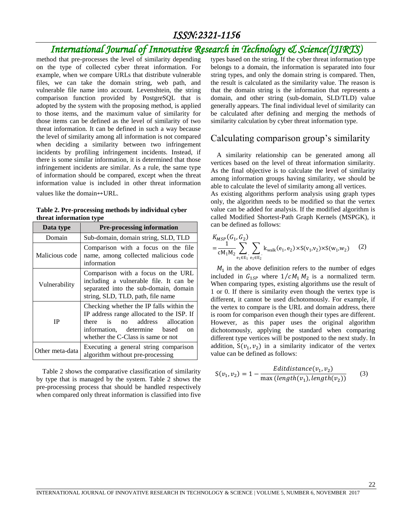## *ISSN:2321-1156*

# *International Journal of Innovative Research in Technology & Science(IJIRTS)*

method that pre-processes the level of similarity depending on the type of collected cyber threat information. For example, when we compare URLs that distribute vulnerable files, we can take the domain string, web path, and vulnerable file name into account. Levenshtein, the string comparison function provided by PostgreSQL that is adopted by the system with the proposing method, is applied to those items, and the maximum value of similarity for those items can be defined as the level of similarity of two threat information. It can be defined in such a way because the level of similarity among all information is not compared when deciding a similarity between two infringement incidents by profiling infringement incidents. Instead, if there is some similar information, it is determined that those infringement incidents are similar. As a rule, the same type of information should be compared, except when the threat information value is included in other threat information values like the domain↔URL.

**Table 2. Pre-processing methods by individual cyber threat information type**

| Data type       | <b>Pre-processing information</b>                                                                                                                                                                      |  |  |  |  |
|-----------------|--------------------------------------------------------------------------------------------------------------------------------------------------------------------------------------------------------|--|--|--|--|
| Domain          | Sub-domain, domain string, SLD, TLD                                                                                                                                                                    |  |  |  |  |
| Malicious code  | Comparison with a focus on the file<br>name, among collected malicious code<br>information                                                                                                             |  |  |  |  |
| Vulnerability   | Comparison with a focus on the URL<br>including a vulnerable file. It can be<br>separated into the sub-domain, domain<br>string, SLD, TLD, path, file name                                             |  |  |  |  |
| <b>IP</b>       | Checking whether the IP falls within the<br>IP address range allocated to the ISP. If<br>there is<br>no address allocation<br>information, determine based<br>on<br>whether the C-Class is same or not |  |  |  |  |
| Other meta-data | Executing a general string comparison<br>algorithm without pre-processing                                                                                                                              |  |  |  |  |

Table 2 shows the comparative classification of similarity by type that is managed by the system. Table 2 shows the pre-processing process that should be handled respectively when compared only threat information is classified into five

types based on the string. If the cyber threat information type belongs to a domain, the information is separated into four string types, and only the domain string is compared. Then, the result is calculated as the similarity value. The reason is that the domain string is the information that represents a domain, and other string (sub-domain, SLD/TLD) value generally appears. The final individual level of similarity can be calculated after defining and merging the methods of similarity calculation by cyber threat information type.

#### Calculating comparison group's similarity

A similarity relationship can be generated among all vertices based on the level of threat information similarity. As the final objective is to calculate the level of similarity among information groups having similarity, we should be able to calculate the level of similarity among all vertices. As existing algorithms perform analysis using graph types only, the algorithm needs to be modified so that the vertex value can be added for analysis. If the modified algorithm is called Modified Shortest-Path Graph Kernels (MSPGK), it can be defined as follows:

$$
K_{MSP}(G_1, G_2)
$$
  
=  $\frac{1}{cM_1M_2} \sum_{e_1 \in E_1} \sum_{e_1 \in E_2} k_{walk}(e_1, e_2) \times S(v_1, v_2) \times S(w_1, w_2)$  (2)

 $M_1$  in the above definition refers to the number of edges included in  $G_{1SP}$  where  $1/cM_1M_2$  is a normalized term. When comparing types, existing algorithms use the result of 1 or 0. If there is similarity even though the vertex type is different, it cannot be used dichotomously. For example, if the vertex to compare is the URL and domain address, there is room for comparison even though their types are different. However, as this paper uses the original algorithm dichotomously, applying the standard when comparing different type vertices will be postponed to the next study. In addition,  $S(v_1, v_2)$  in a similarity indicator of the vertex value can be defined as follows:

$$
S(v_1, v_2) = 1 - \frac{Edit distance(v_1, v_2)}{\max (length(v_1), length(v_2))}
$$
 (3)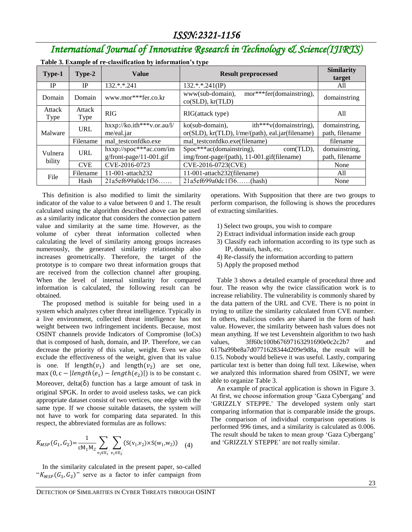# *International Journal of Innovative Research in Technology & Science(IJIRTS)*

| Type-1            | Type-2         | <b>Value</b>                                          | <b>Result preprocessed</b>                                                                         | <b>Similarity</b><br>target     |
|-------------------|----------------|-------------------------------------------------------|----------------------------------------------------------------------------------------------------|---------------------------------|
| IP                | <b>IP</b>      | 132.*.*.241                                           | $132.*.*.241(IP)$                                                                                  | All                             |
| Domain            | Domain         | www.mor***fer.co.kr                                   | mor***fer(domainstring),<br>www(sub-domain),<br>co(SLD), kr(TLD)                                   | domainstring                    |
| Attack<br>Type    | Attack<br>Type | <b>RIG</b>                                            | RIG(attack type)                                                                                   | All                             |
| Malware           | URL            | $hxxp://ko.ith***v.or.au/l/$<br>me/eal.jar            | $ith***v(domainstring),$<br>$ko(sub-domain)$ ,<br>or(SLD), kr(TLD), l/me/(path), eal.jar(filename) | domainstring,<br>path, filename |
|                   | Filename       | mal testconfdko.exe                                   | mal testconfdko.exe(filename)                                                                      | filename                        |
| Vulnera<br>bility | URL            | hxxp://spoc***ac.com/im<br>$g$ /front-page/11-001.gif | Spoc***ac(domainstring),<br>com(TLD),<br>img/front-page/(path), 11-001.gif(filename)               | domainstring,<br>path, filename |
|                   | <b>CVE</b>     | CVE-2016-0723                                         | CVE-2016-0723(CVE)                                                                                 | None                            |
| File              | Filename       | 11-001-attach232                                      | 11-001-attach232(filename)                                                                         | All                             |
|                   | Hash           | 21a5ef699a0dc1f36                                     | 21a5ef699a0dc1f36(hash)                                                                            | None                            |

**Table 3. Example of re-classification by information's type**

This definition is also modified to limit the similarity indicator of the value to a value between 0 and 1. The result calculated using the algorithm described above can be used as a similarity indicator that considers the connection pattern value and similarity at the same time. However, as the volume of cyber threat information collected when calculating the level of similarity among groups increases numerously, the generated similarity relationship also increases geometrically. Therefore, the target of the prototype is to compare two threat information groups that are received from the collection channel after grouping. When the level of internal similarity for compared information is calculated, the following result can be obtained.

The proposed method is suitable for being used in a system which analyzes cyber threat intelligence. Typically in a live environment, collected threat intelligence has not weight between two infringement incidents. Because, most OSINT channels provide Indicators of Compromise (IoCs) that is composed of hash, domain, and IP. Therefore, we can decrease the priority of this value, weight. Even we also exclude the effectiveness of the weight, given that its value is one. If length $(v_1)$  and length $(v_2)$  are set one, max  $(0, c - | length(e_1) - length(e_2)|)$  is to be constant c. Moreover, delta $(\delta)$  function has a large amount of task in original SPGK. In order to avoid useless tasks, we can pick appropriate dataset consist of two vertices, one edge with the same type. If we choose suitable datasets, the system will not have to work for comparing data separated. In this respect, the abbreviated formulas are as follows:

$$
K_{MSP}(G_1, G_2) = \frac{1}{cM_1M_2} \sum_{e_1 \in E_1} \sum_{e_1 \in E_2} (S(v_1, v_2) \times S(w_1, w_2)) \quad (4)
$$

In the similarity calculated in the present paper, so-called " $K_{MSP}(G_1, G_2)$ " serve as a factor to infer campaign from operations. With Supposition that there are two groups to perform comparison, the following is shows the procedures of extracting similarities.

- 1) Select two groups, you wish to compare
- 2) Extract individual information inside each group
- 3) Classify each information according to its type such as IP, domain, hash, etc.
- 4) Re-classify the information according to pattern
- 5) Apply the proposed method

Table 3 shows a detailed example of procedural three and four. The reason why the twice classification work is to increase reliability. The vulnerability is commonly shared by the data pattern of the URL and CVE. There is no point in trying to utilize the similarity calculated from CVE number. In others, malicious codes are shared in the form of hash value. However, the similarity between hash values does not mean anything. If we test Levenshtein algorithm to two hash values, 3ff60c100b67697163291690e0c2c2b7 and 617ba99be8a7d0771628344d209e9d8a, the result will be 0.15. Nobody would believe it was useful. Lastly, comparing particular text is better than doing full text. Likewise, when we analyzed this information shared from OSINT, we were able to organize Table 3.

An example of practical application is shown in Figure 3. At first, we choose information group 'Gaza Cybergang' and 'GRIZZLY STEPPE.' The developed system only start comparing information that is comparable inside the groups. The comparison of individual comparison operations is performed 996 times, and a similarity is calculated as 0.006. The result should be taken to mean group 'Gaza Cybergang' and 'GRIZZLY STEPPE' are not really similar.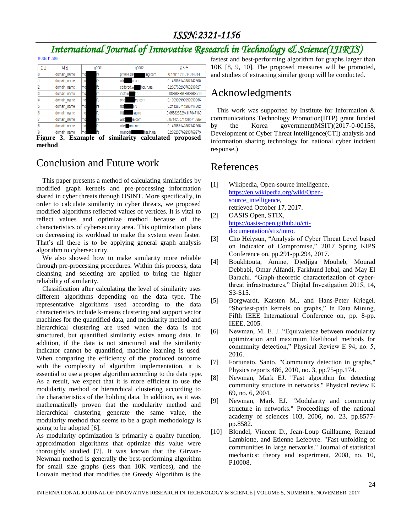# *ISSN:2321-1156*

# *International Journal of Innovative Research in Technology & Science(IJIRTS)*

| 순번 | 타입          |                | q0001 | g0002                    | 유사도                   |
|----|-------------|----------------|-------|--------------------------|-----------------------|
|    | domain name | mo             | lfe   | private dire<br>ing.com  | 0.14814814814814814   |
|    | domain name | mo             | fe    | <b>cde</b><br>1.COM      | 0.142857142857142905  |
|    | domain name | mo             | lfe   | Iter.in.ua<br>editprod.w | 0.230769230769230727  |
|    | domain name | <b>mo</b>      | fe    | insta.re<br>t.ru         | 0.066666666666666519  |
|    | domain name | mo             | fe.   | one:<br>ee.com           | 0.19999999999999956   |
|    | domain name | m <sub>0</sub> | fe    | rits<br>l.ru             | 0.214285714285714302  |
|    | domain name | mo             | fe    | littik<br>hap.ru         | 0.0588235294117647189 |
|    | domain name | m <sub>0</sub> | fe    | wild be.com              | 0.0714285714285713969 |
|    | domain name | mo             | fe    | cder am.com              | 0.142857142857142905  |
|    | domain name |                | fe    | ilter.in.ua<br>mvmodu    | 0.269230769230769273  |

**Figure 3. Example of similarity calculated proposed method**

# Conclusion and Future work

This paper presents a method of calculating similarities by modified graph kernels and pre-processing information shared in cyber threats through OSINT. More specifically, in order to calculate similarity in cyber threats, we proposed modified algorithms reflected values of vertices. It is vital to reflect values and optimize method because of the characteristics of cybersecurity area. This optimization plans on decreasing its workload to make the system even faster. That's all there is to be applying general graph analysis algorithm to cybersecurity.

We also showed how to make similarity more reliable through pre-processing procedures. Within this process, data cleansing and selecting are applied to bring the higher reliability of similarity.

Classification after calculating the level of similarity uses different algorithms depending on the data type. The representative algorithms used according to the data characteristics include k-means clustering and support vector machines for the quantified data, and modularity method and hierarchical clustering are used when the data is not structured, but quantified similarity exists among data. In addition, if the data is not structured and the similarity indicator cannot be quantified, machine learning is used. When comparing the efficiency of the produced outcome with the complexity of algorithm implementation, it is essential to use a proper algorithm according to the data type. As a result, we expect that it is more efficient to use the modularity method or hierarchical clustering according to the characteristics of the holding data. In addition, as it was mathematically proven that the modularity method and hierarchical clustering generate the same value, the modularity method that seems to be a graph methodology is going to be adopted [6].

As modularity optimization is primarily a quality function, approximation algorithms that optimize this value were thoroughly studied [7]. It was known that the Girvan-Newman method is generally the best-performing algorithm for small size graphs (less than 10K vertices), and the Louvain method that modifies the Greedy Algorithm is the fastest and best-performing algorithm for graphs larger than 10K [8, 9, 10]. The proposed measures will be promoted, and studies of extracting similar group will be conducted.

# Acknowledgments

This work was supported by Institute for Information & communications Technology Promotion(IITP) grant funded by the Korea government(MSIT)(2017-0-00158, Development of Cyber Threat Intelligence(CTI) analysis and information sharing technology for national cyber incident response.)

# References

- [1] Wikipedia, Open-source intelligence, [https://en.wikipedia.org/wiki/Open](https://en.wikipedia.org/wiki/Open-source_intelligence)[source\\_intelligence,](https://en.wikipedia.org/wiki/Open-source_intelligence) retrieved October 17, 2017.
- [2] OASIS Open, STIX, [https://oasis-open.github.io/cti](https://oasis-open.github.io/cti-documentation/stix/intro)[documentation/stix/intro.](https://oasis-open.github.io/cti-documentation/stix/intro)
- [3] Cho Heiysun, "Analysis of Cyber Threat Level based on Indicator of Compromise," 2017 Spring KIPS Conference on, pp.291-pp.294, 2017.
- [4] Boukhtouta, Amine, Djedjiga Mouheb, Mourad Debbabi, Omar Alfandi, Farkhund Iqbal, and May El Barachi. "Graph-theoretic characterization of cyberthreat infrastructures," Digital Investigation 2015, 14, S3-S15.
- [5] Borgwardt, Karsten M., and Hans-Peter Kriegel. "Shortest-path kernels on graphs," In Data Mining, Fifth IEEE International Conference on, pp. 8-pp. IEEE, 2005.
- [6] Newman, M. E. J. "Equivalence between modularity optimization and maximum likelihood methods for community detection," Physical Review E 94, no. 5, 2016.
- [7] Fortunato, Santo. "Community detection in graphs," Physics reports 486, 2010, no. 3, pp.75-pp.174.
- [8] Newman, Mark EJ. "Fast algorithm for detecting community structure in networks." Physical review E 69, no. 6, 2004.
- [9] Newman, Mark EJ. "Modularity and community structure in networks." Proceedings of the national academy of sciences 103, 2006, no. 23, pp.8577 pp.8582.
- [10] Blondel, Vincent D., Jean-Loup Guillaume, Renaud Lambiotte, and Etienne Lefebvre. "Fast unfolding of communities in large networks." Journal of statistical mechanics: theory and experiment, 2008, no. 10, P10008.